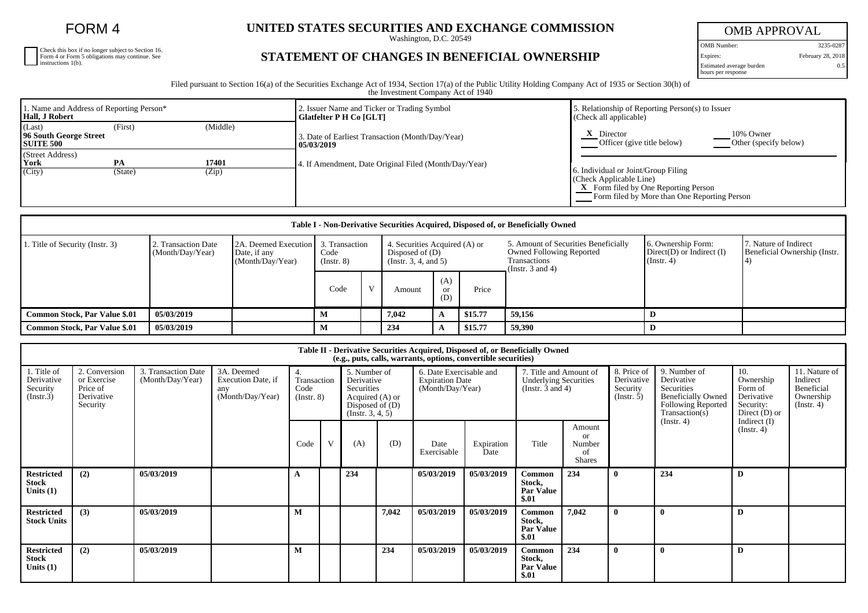FORM 4

Check this box if no longer subject to Section 16. Form 4 or Form 5 obligations may continue. See instructions 1(b).

## UNITED STATES SECURITIES AND EXCHANGE COMMISSION

**STATEMENT OF CHANGES IN BENEFICIAL OWNERSHIP**

OMB APPROVAL OMB Number: 3235-0287 Expires: February 28, 2018 0.5

Estimated average burden hours per response

Filed pursuant to Section 16(a) of the Securities Exchange Act of 1934, Section 17(a) of the Public Utility Holding Company Act of 1935 or Section 30(h) of the Investment Company Act of 1940

| 1. Name and Address of Reporting Person*<br><b>Hall, J Robert</b> |               |                | 2. Issuer Name and Ticker or Trading Symbol<br>Glatfelter P H Co [GLT] | 5. Relationship of Reporting Person(s) to Issuer<br>(Check all applicable)                                                                             |  |  |  |  |
|-------------------------------------------------------------------|---------------|----------------|------------------------------------------------------------------------|--------------------------------------------------------------------------------------------------------------------------------------------------------|--|--|--|--|
| (Last)<br>96 South George Street<br><b>SUITE 500</b>              | (First)       | (Middle)       | 3. Date of Earliest Transaction (Month/Day/Year)<br>  05/03/2019       | 10% Owner<br>Director<br>Other (specify below)<br>Officer (give title below)                                                                           |  |  |  |  |
| (Street Address)<br>York<br>(City)                                | PA<br>(State) | 17401<br>(Zip) | 4. If Amendment, Date Original Filed (Month/Day/Year)                  | 6. Individual or Joint/Group Filing<br>(Check Applicable Line)<br>X Form filed by One Reporting Person<br>Form filed by More than One Reporting Person |  |  |  |  |

| Table I - Non-Derivative Securities Acquired, Disposed of, or Beneficially Owned |                                                                                                                    |  |                     |              |                                                                                 |                             |         |                                                                                                                  |                                                                   |                                                       |  |
|----------------------------------------------------------------------------------|--------------------------------------------------------------------------------------------------------------------|--|---------------------|--------------|---------------------------------------------------------------------------------|-----------------------------|---------|------------------------------------------------------------------------------------------------------------------|-------------------------------------------------------------------|-------------------------------------------------------|--|
| 1. Title of Security (Instr. 3)                                                  | 2A. Deemed Execution 3. Transaction<br>2. Transaction Date<br>(Month/Day/Year)<br>Date, if any<br>(Month/Day/Year) |  | Code<br>(Insert. 8) |              | 4. Securities Acquired (A) or<br>Disposed of $(D)$<br>(Instr. $3, 4,$ and $5$ ) |                             |         | 5. Amount of Securities Beneficially<br><b>Owned Following Reported</b><br>Transactions<br>(Instr. $3$ and $4$ ) | 6. Ownership Form:<br>$Direct(D)$ or Indirect $(I)$<br>(Instr. 4) | 7. Nature of Indirect<br>Beneficial Ownership (Instr. |  |
|                                                                                  |                                                                                                                    |  | Code                | $\mathbf{V}$ | Amount                                                                          | (A)<br><sub>or</sub><br>(D) | Price   |                                                                                                                  |                                                                   |                                                       |  |
| <b>Common Stock, Par Value \$.01</b>                                             | 05/03/2019                                                                                                         |  | М                   |              | 7,042                                                                           | A                           | \$15.77 | 59,156                                                                                                           | Ð                                                                 |                                                       |  |
| <b>Common Stock, Par Value \$.01</b>                                             | 05/03/2019                                                                                                         |  | М                   |              | 234                                                                             |                             | \$15.77 | 59,390                                                                                                           | D                                                                 |                                                       |  |

| Table II - Derivative Securities Acquired, Disposed of, or Beneficially Owned<br>(e.g., puts, calls, warrants, options, convertible securities) |                                                                                                                                                                                                                              |            |  |                                                                                                         |   |                                                                       |       |                                                                                 |                    |                                                      |                                                                                                                      |                                                                           |                                                                          |                                    |  |
|-------------------------------------------------------------------------------------------------------------------------------------------------|------------------------------------------------------------------------------------------------------------------------------------------------------------------------------------------------------------------------------|------------|--|---------------------------------------------------------------------------------------------------------|---|-----------------------------------------------------------------------|-------|---------------------------------------------------------------------------------|--------------------|------------------------------------------------------|----------------------------------------------------------------------------------------------------------------------|---------------------------------------------------------------------------|--------------------------------------------------------------------------|------------------------------------|--|
| 1. Title of<br>Derivative<br>Security<br>(Insert.3)                                                                                             | 2. Conversion<br>3. Transaction Date<br>3A. Deemed<br>4.<br>Transaction<br>Execution Date, if<br>or Exercise<br>(Month/Day/Year)<br>Price of<br>Code<br>any<br>(Month/Day/Year)<br>Derivative<br>$($ Instr. $8)$<br>Security |            |  | 5. Number of<br>Derivative<br>Securities<br>Acquired (A) or<br>Disposed of $(D)$<br>$($ Instr. 3, 4, 5) |   | 6. Date Exercisable and<br><b>Expiration Date</b><br>(Month/Day/Year) |       | 7. Title and Amount of<br><b>Underlying Securities</b><br>(Instr. $3$ and $4$ ) |                    | 8. Price of<br>Derivative<br>Security<br>(Insert. 5) | 9. Number of<br>Derivative<br>Securities<br><b>Beneficially Owned</b><br><b>Following Reported</b><br>Transaction(s) | 10.<br>Ownership<br>Form of<br>Derivative<br>Security:<br>Direct $(D)$ or | 11. Nature of<br>Indirect<br>Beneficial<br>Ownership<br>$($ Instr. 4 $)$ |                                    |  |
|                                                                                                                                                 |                                                                                                                                                                                                                              |            |  | Code                                                                                                    | V | (A)                                                                   | (D)   | Date<br>Exercisable                                                             | Expiration<br>Date | Title                                                | Amount<br><sub>or</sub><br>Number<br>of<br><b>Shares</b>                                                             |                                                                           | (Instr. 4)                                                               | Indirect $(I)$<br>$($ Instr. 4 $)$ |  |
| <b>Restricted</b><br><b>Stock</b><br>Units $(1)$                                                                                                | (2)                                                                                                                                                                                                                          | 05/03/2019 |  |                                                                                                         |   | 234                                                                   |       | 05/03/2019                                                                      | 05/03/2019         | Common<br>Stock,<br><b>Par Value</b><br>\$.01        | 234                                                                                                                  |                                                                           | 234                                                                      | D                                  |  |
| <b>Restricted</b><br><b>Stock Units</b>                                                                                                         | (3)                                                                                                                                                                                                                          | 05/03/2019 |  | M                                                                                                       |   |                                                                       | 7,042 | 05/03/2019                                                                      | 05/03/2019         | Common<br>Stock,<br><b>Par Value</b><br>\$.01        | 7.042                                                                                                                |                                                                           | $\mathbf{0}$                                                             | D                                  |  |
| <b>Restricted</b><br><b>Stock</b><br>Units $(1)$                                                                                                | (2)                                                                                                                                                                                                                          | 05/03/2019 |  | M                                                                                                       |   |                                                                       | 234   | 05/03/2019                                                                      | 05/03/2019         | <b>Common</b><br>Stock,<br><b>Par Value</b><br>\$.01 | 234                                                                                                                  |                                                                           | $\mathbf{0}$                                                             | D                                  |  |